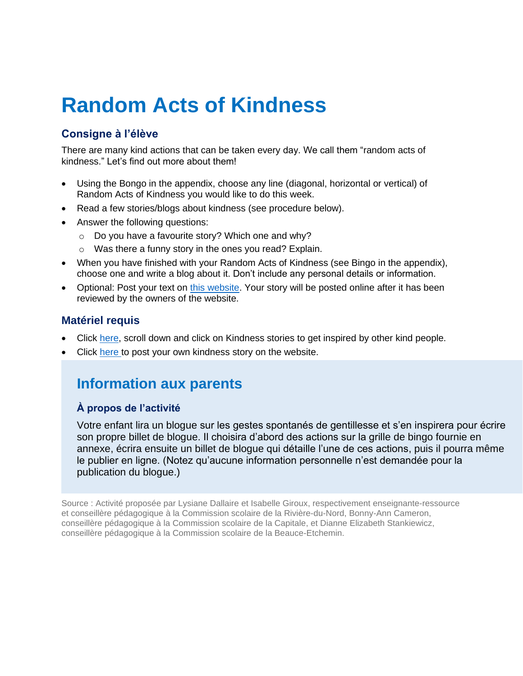# **Random Acts of Kindness**

### **Consigne à l'élève**

There are many kind actions that can be taken every day. We call them "random acts of kindness." Let's find out more about them!

- Using the Bongo in the appendix, choose any line (diagonal, horizontal or vertical) of Random Acts of Kindness you would like to do this week.
- Read a few stories/blogs about kindness (see procedure below).
- Answer the following questions:
	- o Do you have a favourite story? Which one and why?
	- o Was there a funny story in the ones you read? Explain.
- When you have finished with your Random Acts of Kindness (see Bingo in the appendix), choose one and write a blog about it. Don't include any personal details or information.
- Optional: Post your text on [this website.](https://www.randomactsofkindness.org/kindness-stories/whos-your-one) Your story will be posted online after it has been reviewed by the owners of the website.

### **Matériel requis**

- Click [here,](https://www.randomactsofkindness.org/kindness-stories/whos-your-one) scroll down and click on Kindness stories to get inspired by other kind people.
- Click [here](https://www.randomactsofkindness.org/kindness-stories/whos-your-one) to post your own kindness story on the website.

## **Information aux parents**

#### **À propos de l'activité**

Votre enfant lira un blogue sur les gestes spontanés de gentillesse et s'en inspirera pour écrire son propre billet de blogue. Il choisira d'abord des actions sur la grille de bingo fournie en annexe, écrira ensuite un billet de blogue qui détaille l'une de ces actions, puis il pourra même le publier en ligne. (Notez qu'aucune information personnelle n'est demandée pour la publication du blogue.)

Source : Activité proposée par Lysiane Dallaire et Isabelle Giroux, respectivement enseignante-ressource et conseillère pédagogique à la Commission scolaire de la Rivière-du-Nord, Bonny-Ann Cameron, conseillère pédagogique à la Commission scolaire de la Capitale, et Dianne Elizabeth Stankiewicz, conseillère pédagogique à la Commission scolaire de la Beauce-Etchemin.